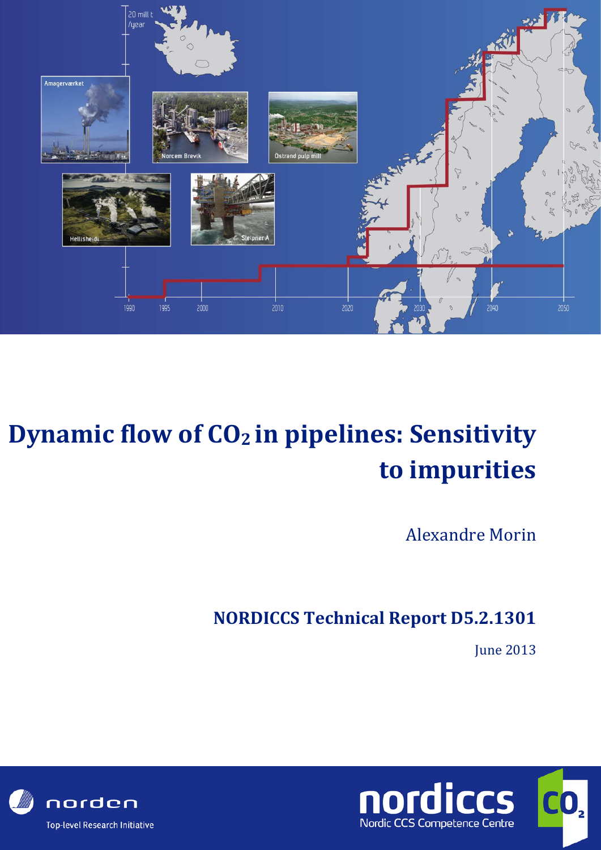

# **Dynamic flow of CO<sub>2</sub> in pipelines: Sensitivity to impurities**

Alexandre Morin

**NORDICCS Technical Report D5.2.1301**

**June 2013** 



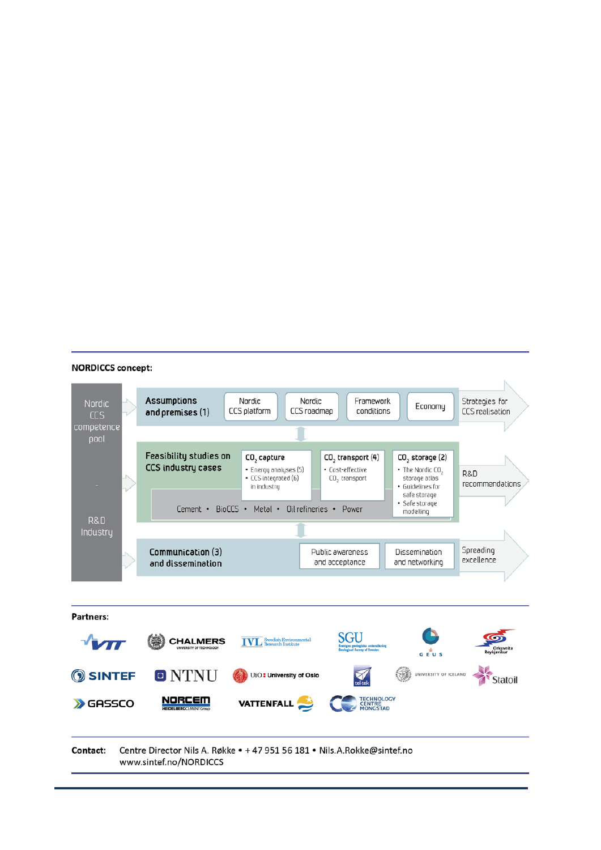#### **NORDICCS concept:**

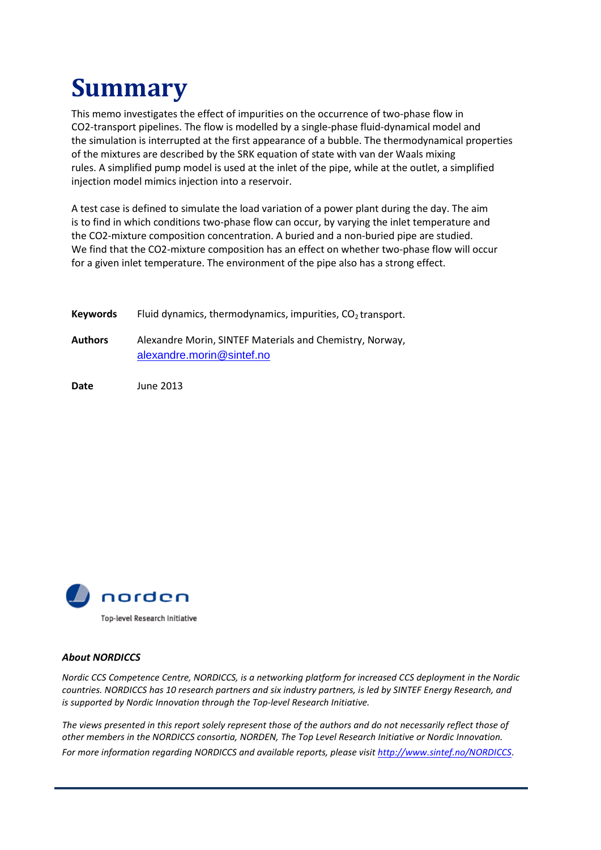# **Summary**

This memo investigates the effect of impurities on the occurrence of two-phase flow in CO2-transport pipelines. The flow is modelled by a single-phase fluid-dynamical model and the simulation is interrupted at the first appearance of a bubble. The thermodynamical properties of the mixtures are described by the SRK equation of state with van der Waals mixing rules. A simplified pump model is used at the inlet of the pipe, while at the outlet, a simplified injection model mimics injection into a reservoir.

A test case is defined to simulate the load variation of a power plant during the day. The aim is to find in which conditions two-phase flow can occur, by varying the inlet temperature and the CO2-mixture composition concentration. A buried and a non-buried pipe are studied. We find that the CO2-mixture composition has an effect on whether two-phase flow will occur for a given inlet temperature. The environment of the pipe also has a strong effect.

| <b>Keywords</b> | Fluid dynamics, thermodynamics, impurities, $CO2$ transport.                          |
|-----------------|---------------------------------------------------------------------------------------|
| <b>Authors</b>  | Alexandre Morin, SINTEF Materials and Chemistry, Norway,<br>alexandre.morin@sintef.no |

**Date** June 2013



#### *About NORDICCS*

*Nordic CCS Competence Centre, NORDICCS, is a networking platform for increased CCS deployment in the Nordic countries. NORDICCS has 10 research partners and six industry partners, is led by SINTEF Energy Research, and is supported by Nordic Innovation through the Top-level Research Initiative.*

*The views presented in this report solely represent those of the authors and do not necessarily reflect those of other members in the NORDICCS consortia, NORDEN, The Top Level Research Initiative or Nordic Innovation.*

*For more information regarding NORDICCS and available reports, please visit<http://www.sintef.no/NORDICCS>*.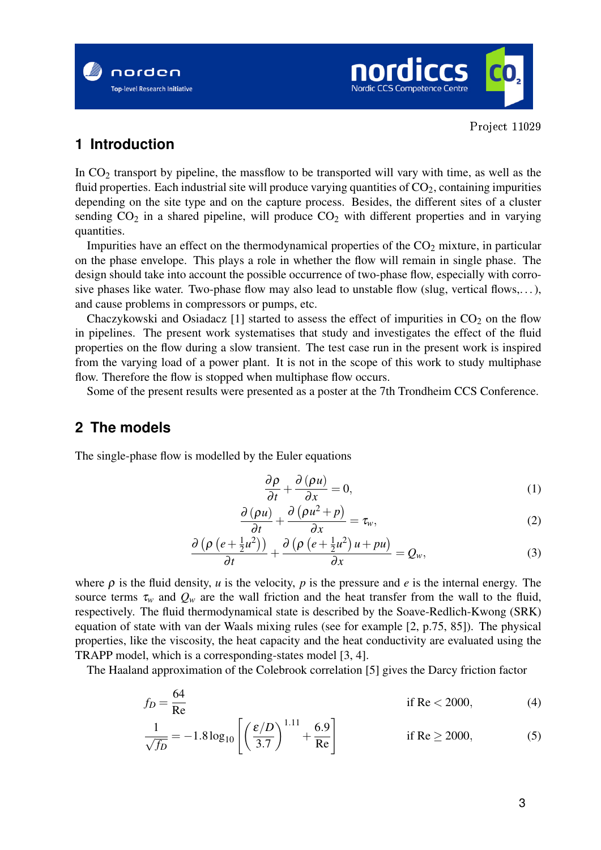



# **1 Introduction**

In CO<sub>2</sub> transport by pipeline, the massflow to be transported will vary with time, as well as the fluid properties. Each industrial site will produce varying quantities of  $CO<sub>2</sub>$ , containing impurities depending on the site type and on the capture process. Besides, the different sites of a cluster sending  $CO_2$  in a shared pipeline, will produce  $CO_2$  with different properties and in varying quantities.

Impurities have an effect on the thermodynamical properties of the  $CO<sub>2</sub>$  mixture, in particular on the phase envelope. This plays a role in whether the flow will remain in single phase. The design should take into account the possible occurrence of two-phase flow, especially with corrosive phases like water. Two-phase flow may also lead to unstable flow (slug, vertical flows,...), and cause problems in compressors or pumps, etc.

Chaczykowski and Osiadacz [1] started to assess the effect of impurities in  $CO<sub>2</sub>$  on the flow in pipelines. The present work systematises that study and investigates the effect of the fluid properties on the flow during a slow transient. The test case run in the present work is inspired from the varying load of a power plant. It is not in the scope of this work to study multiphase flow. Therefore the flow is stopped when multiphase flow occurs.

Some of the present results were presented as a poster at the 7th Trondheim CCS Conference.

# **2 The models**

The single-phase flow is modelled by the Euler equations

$$
\frac{\partial \rho}{\partial t} + \frac{\partial (\rho u)}{\partial x} = 0, \tag{1}
$$

$$
\frac{\partial (\rho u)}{\partial t} + \frac{\partial (\rho u^2 + p)}{\partial x} = \tau_w,
$$
 (2)

$$
\frac{\partial \left(\rho \left(e+\frac{1}{2}u^2\right)\right)}{\partial t} + \frac{\partial \left(\rho \left(e+\frac{1}{2}u^2\right)u + pu\right)}{\partial x} = Q_w,\tag{3}
$$

where  $\rho$  is the fluid density, *u* is the velocity, *p* is the pressure and *e* is the internal energy. The source terms  $\tau_w$  and  $Q_w$  are the wall friction and the heat transfer from the wall to the fluid, respectively. The fluid thermodynamical state is described by the Soave-Redlich-Kwong (SRK) equation of state with van der Waals mixing rules (see for example [2, p.75, 85]). The physical properties, like the viscosity, the heat capacity and the heat conductivity are evaluated using the TRAPP model, which is a corresponding-states model [3, 4].

The Haaland approximation of the Colebrook correlation [5] gives the Darcy friction factor

$$
f_D = \frac{64}{\text{Re}} \qquad \text{if } \text{Re} < 2000,\tag{4}
$$

$$
\frac{1}{\sqrt{f_D}} = -1.8 \log_{10} \left[ \left( \frac{\varepsilon/D}{3.7} \right)^{1.11} + \frac{6.9}{\text{Re}} \right] \qquad \text{if } \text{Re} \ge 2000,
$$
 (5)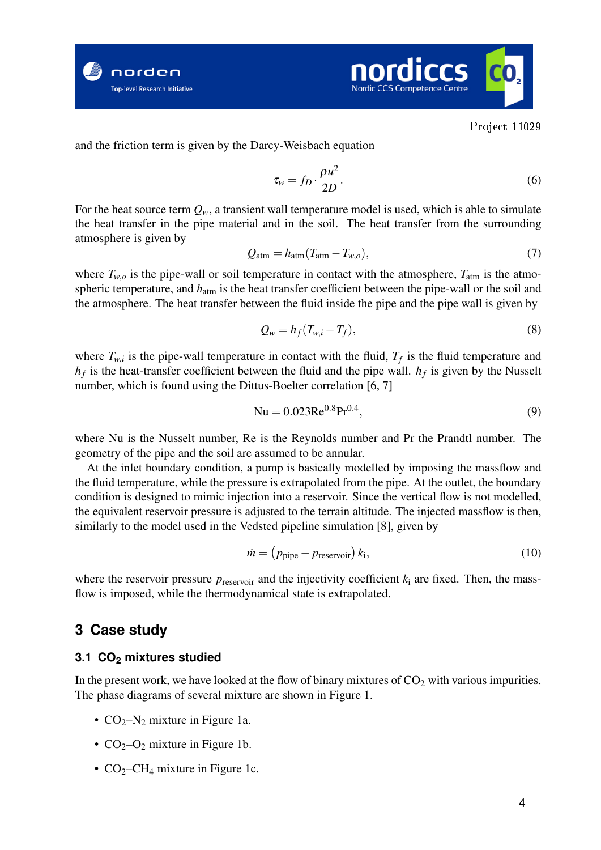



and the friction term is given by the Darcy-Weisbach equation

$$
\tau_w = f_D \cdot \frac{\rho u^2}{2D}.\tag{6}
$$

For the heat source term  $Q_w$ , a transient wall temperature model is used, which is able to simulate the heat transfer in the pipe material and in the soil. The heat transfer from the surrounding atmosphere is given by

$$
Q_{\rm atm} = h_{\rm atm}(T_{\rm atm} - T_{w,o}),\tag{7}
$$

where  $T_{w,o}$  is the pipe-wall or soil temperature in contact with the atmosphere,  $T_{\text{atm}}$  is the atmospheric temperature, and  $h_{\text{atm}}$  is the heat transfer coefficient between the pipe-wall or the soil and the atmosphere. The heat transfer between the fluid inside the pipe and the pipe wall is given by

$$
Q_w = h_f(T_{w,i} - T_f),\tag{8}
$$

where  $T_{w,i}$  is the pipe-wall temperature in contact with the fluid,  $T_f$  is the fluid temperature and  $h_f$  is the heat-transfer coefficient between the fluid and the pipe wall.  $h_f$  is given by the Nusselt number, which is found using the Dittus-Boelter correlation [6, 7]

$$
Nu = 0.023 Re0.8 Pr0.4,
$$
 (9)

where Nu is the Nusselt number, Re is the Reynolds number and Pr the Prandtl number. The geometry of the pipe and the soil are assumed to be annular.

At the inlet boundary condition, a pump is basically modelled by imposing the massflow and the fluid temperature, while the pressure is extrapolated from the pipe. At the outlet, the boundary condition is designed to mimic injection into a reservoir. Since the vertical flow is not modelled, the equivalent reservoir pressure is adjusted to the terrain altitude. The injected massflow is then, similarly to the model used in the Vedsted pipeline simulation [8], given by

$$
\dot{m} = (p_{\text{pipe}} - p_{\text{reservoir}}) k_{\text{i}},\tag{10}
$$

where the reservoir pressure  $p_{\text{reservoir}}$  and the injectivity coefficient  $k_i$  are fixed. Then, the massflow is imposed, while the thermodynamical state is extrapolated.

## **3 Case study**

### **3.1 CO<sup>2</sup> mixtures studied**

In the present work, we have looked at the flow of binary mixtures of  $CO<sub>2</sub>$  with various impurities. The phase diagrams of several mixture are shown in Figure 1.

- $CO<sub>2</sub>-N<sub>2</sub>$  mixture in Figure 1a.
- $CO<sub>2</sub>-O<sub>2</sub>$  mixture in Figure 1b.
- $CO<sub>2</sub>-CH<sub>4</sub>$  mixture in Figure 1c.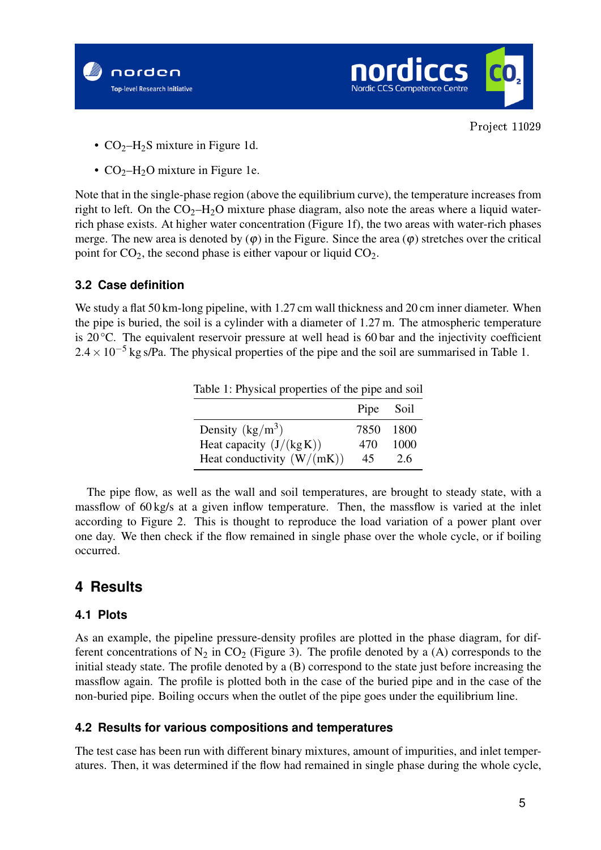



- $CO<sub>2</sub>–H<sub>2</sub>S$  mixture in Figure 1d.
- $CO<sub>2</sub>–H<sub>2</sub>O$  mixture in Figure 1e.

Note that in the single-phase region (above the equilibrium curve), the temperature increases from right to left. On the  $CO_2-H_2O$  mixture phase diagram, also note the areas where a liquid waterrich phase exists. At higher water concentration (Figure 1f), the two areas with water-rich phases merge. The new area is denoted by  $(\varphi)$  in the Figure. Since the area  $(\varphi)$  stretches over the critical point for  $CO<sub>2</sub>$ , the second phase is either vapour or liquid  $CO<sub>2</sub>$ .

## **3.2 Case definition**

We study a flat 50 km-long pipeline, with 1.27 cm wall thickness and 20 cm inner diameter. When the pipe is buried, the soil is a cylinder with a diameter of 1.27 m. The atmospheric temperature is 20 °C. The equivalent reservoir pressure at well head is 60 bar and the injectivity coefficient  $2.4 \times 10^{-5}$  kg s/Pa. The physical properties of the pipe and the soil are summarised in Table 1.

Table 1: Physical properties of the pipe and soil

|                              | Pipe Soil |        |
|------------------------------|-----------|--------|
| Density $(kg/m^3)$           | 7850      | - 1800 |
| Heat capacity $(J/(kg K))$   | 470       | 1000   |
| Heat conductivity $(W/(mK))$ | 45        | 2.6    |

The pipe flow, as well as the wall and soil temperatures, are brought to steady state, with a massflow of 60 kg/s at a given inflow temperature. Then, the massflow is varied at the inlet according to Figure 2. This is thought to reproduce the load variation of a power plant over one day. We then check if the flow remained in single phase over the whole cycle, or if boiling occurred.

# **4 Results**

## **4.1 Plots**

As an example, the pipeline pressure-density profiles are plotted in the phase diagram, for different concentrations of  $N_2$  in  $CO_2$  (Figure 3). The profile denoted by a (A) corresponds to the initial steady state. The profile denoted by a (B) correspond to the state just before increasing the massflow again. The profile is plotted both in the case of the buried pipe and in the case of the non-buried pipe. Boiling occurs when the outlet of the pipe goes under the equilibrium line.

## **4.2 Results for various compositions and temperatures**

The test case has been run with different binary mixtures, amount of impurities, and inlet temperatures. Then, it was determined if the flow had remained in single phase during the whole cycle,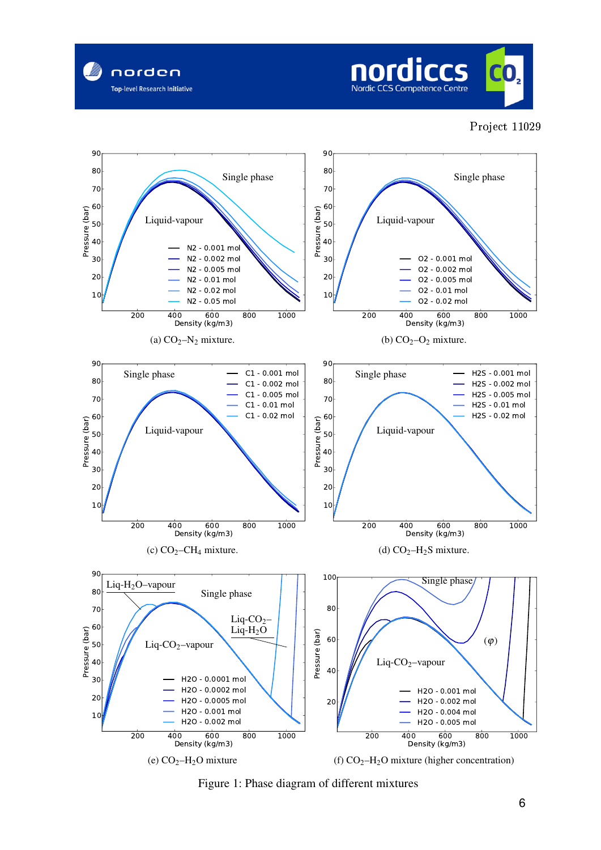





Figure 1: Phase diagram of different mixtures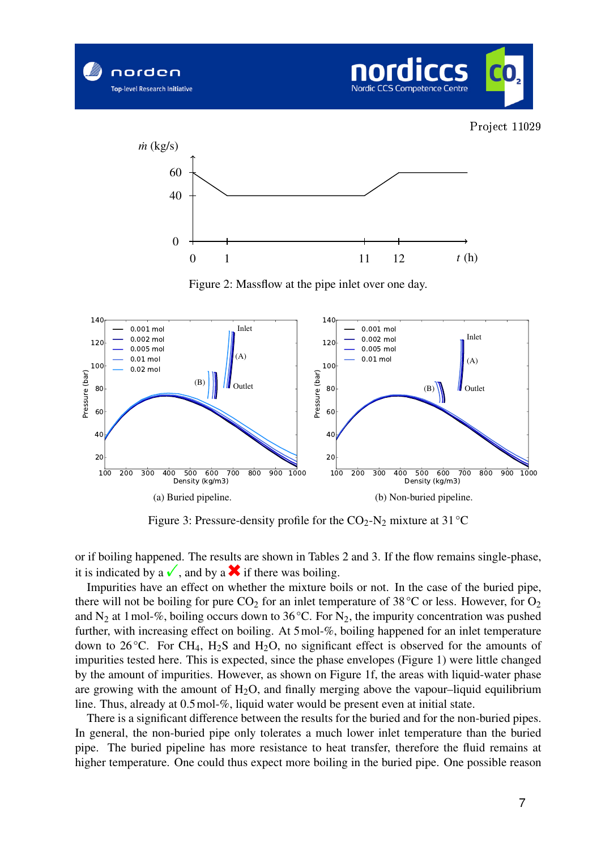







Figure 2: Massflow at the pipe inlet over one day.



Figure 3: Pressure-density profile for the  $CO_2$ -N<sub>2</sub> mixture at 31 °C

or if boiling happened. The results are shown in Tables 2 and 3. If the flow remains single-phase,

Impurities have an effect on whether the mixture boils or not. In the case of the buried pipe, there will not be boiling for pure  $CO_2$  for an inlet temperature of 38 °C or less. However, for  $O_2$ and  $N_2$  at 1 mol-%, boiling occurs down to 36 °C. For  $N_2$ , the impurity concentration was pushed further, with increasing effect on boiling. At 5mol-%, boiling happened for an inlet temperature down to 26 °C. For CH<sub>4</sub>, H<sub>2</sub>S and H<sub>2</sub>O, no significant effect is observed for the amounts of impurities tested here. This is expected, since the phase envelopes (Figure 1) were little changed by the amount of impurities. However, as shown on Figure 1f, the areas with liquid-water phase are growing with the amount of  $H_2O$ , and finally merging above the vapour–liquid equilibrium line. Thus, already at 0.5mol-%, liquid water would be present even at initial state.

There is a significant difference between the results for the buried and for the non-buried pipes. In general, the non-buried pipe only tolerates a much lower inlet temperature than the buried pipe. The buried pipeline has more resistance to heat transfer, therefore the fluid remains at higher temperature. One could thus expect more boiling in the buried pipe. One possible reason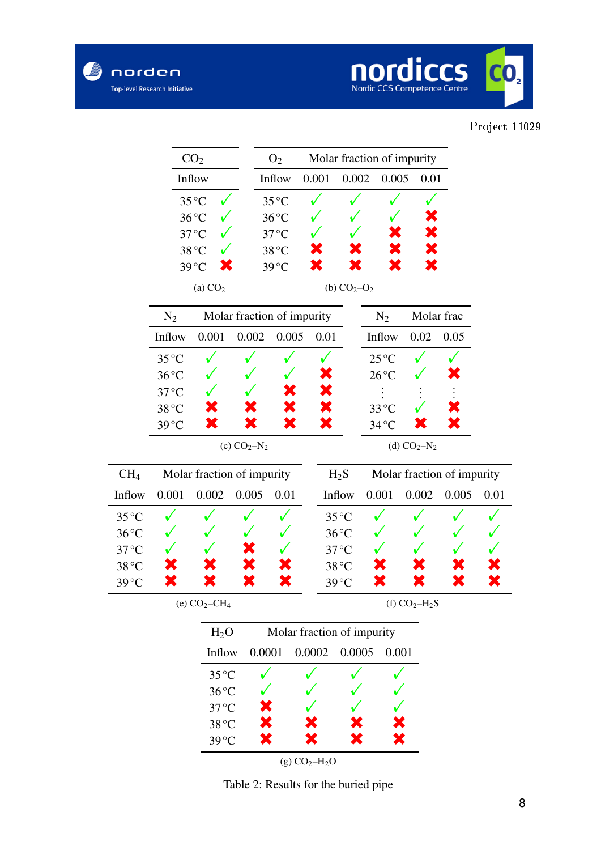

| norden          | op-level Research Initiative     |                            |                            |                                              |       |                | Nordic CCS Competence Centre         |              |            |         |
|-----------------|----------------------------------|----------------------------|----------------------------|----------------------------------------------|-------|----------------|--------------------------------------|--------------|------------|---------|
|                 |                                  |                            |                            |                                              |       |                |                                      |              |            | Project |
|                 | CO <sub>2</sub>                  |                            |                            | Molar fraction of impurity<br>O <sub>2</sub> |       |                |                                      |              |            |         |
|                 |                                  | Inflow                     |                            | Inflow                                       | 0.001 | 0.002          | 0.005<br>0.01                        |              |            |         |
|                 |                                  | $35^{\circ}$ C             |                            | $35^{\circ}$ C                               |       |                |                                      |              |            |         |
|                 |                                  | $36^{\circ}$ C             |                            | $36^{\circ}$ C                               |       |                |                                      |              |            |         |
|                 |                                  | $37^{\circ}$ C             |                            | $37^{\circ}$ C                               |       |                |                                      |              |            |         |
|                 |                                  | 38 °C                      |                            | 38°C                                         |       |                |                                      |              |            |         |
|                 |                                  | $39^{\circ}$ C             |                            | $39^{\circ}$ C                               |       |                |                                      |              |            |         |
|                 |                                  | (a) $CO2$                  |                            |                                              |       | (b) $CO2-O2$   |                                      |              |            |         |
|                 | $N_2$                            |                            | Molar fraction of impurity |                                              |       |                | $N_2$                                |              | Molar frac |         |
|                 | Inflow                           | 0.001                      | 0.002                      | 0.005                                        | 0.01  |                | Inflow                               | 0.02         | 0.05       |         |
|                 | $35^{\circ}$ C                   |                            |                            |                                              |       |                | $25^{\circ}$ C                       |              |            |         |
|                 | $36^{\circ}$ C                   |                            |                            |                                              |       |                | $26^{\circ}$ C                       |              |            |         |
|                 | $37^{\circ}$ C                   |                            |                            |                                              |       |                | $33^{\circ}$ C                       |              |            |         |
|                 | 38 °C<br>$39^{\circ}$ C          |                            |                            |                                              |       |                | $34^{\circ}$ C                       |              |            |         |
|                 |                                  |                            | (c) $CO_2-N_2$             |                                              |       |                |                                      | (d) $CO2-N2$ |            |         |
| CH <sub>4</sub> |                                  | Molar fraction of impurity |                            |                                              |       |                | Molar fraction of impurity<br>$H_2S$ |              |            |         |
| Inflow          | 0.001                            | 0.002                      | 0.005                      | 0.01                                         |       | Inflow         | 0.001                                | 0.002        | 0.005      | 0.01    |
| 35 °C           |                                  |                            |                            |                                              |       | $35^{\circ}$ C |                                      |              |            |         |
| $36^{\circ}$ C  |                                  |                            |                            |                                              |       | $36^{\circ}$ C |                                      |              |            |         |
| $37^{\circ}$ C  |                                  |                            |                            |                                              |       | $37^{\circ}$ C |                                      |              |            |         |
| 38 °C           |                                  |                            |                            |                                              |       | 38 °C          |                                      |              |            |         |
| $39^{\circ}$ C  |                                  |                            |                            |                                              |       | $39^{\circ}$ C |                                      |              |            |         |
|                 | (e) $CO2-CH4$<br>(f) $CO2-H2S$   |                            |                            |                                              |       |                |                                      |              |            |         |
|                 |                                  | H <sub>2</sub> O           |                            | Molar fraction of impurity                   |       |                |                                      |              |            |         |
|                 |                                  | Inflow                     |                            | 0.0001<br>0.0002                             |       | 0.0005         |                                      | 0.001        |            |         |
|                 | $35^{\circ}$ C<br>$36^{\circ}$ C |                            |                            |                                              |       |                |                                      |              |            |         |
|                 |                                  |                            |                            |                                              |       |                |                                      |              |            |         |
|                 |                                  | $37^{\circ}$ C             |                            |                                              |       |                |                                      |              |            |         |
|                 |                                  | 38 °C                      |                            |                                              |       |                |                                      |              |            |         |
|                 |                                  | $39^{\circ}$ C             |                            |                                              |       |                |                                      |              |            |         |
| $(g) CO2-H2O$   |                                  |                            |                            |                                              |       |                |                                      |              |            |         |

Table 2: Results for the buried pipe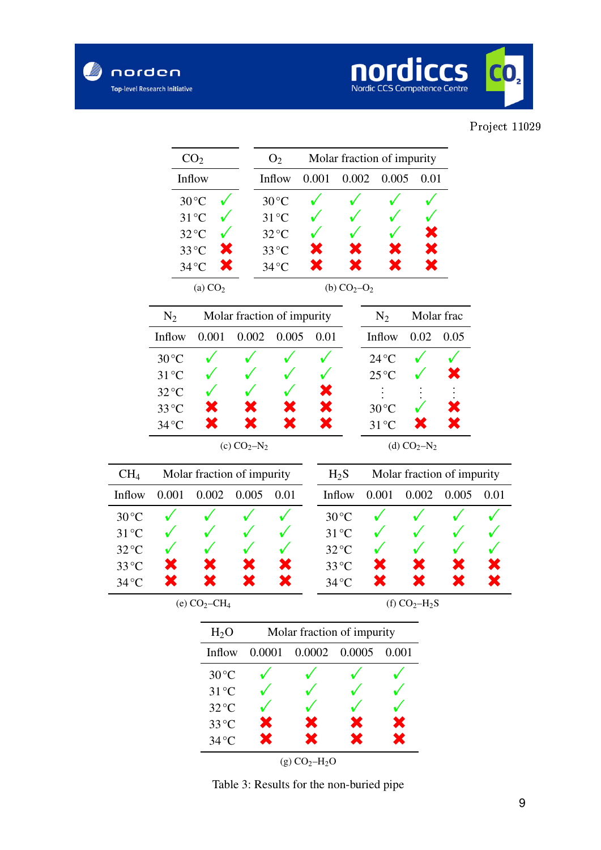

## Project 11029

| norden                                         | <b>Top-level Research Initiative</b>          |                         |                            |                                                                    |       |                            | Nordic CCS Competence Centre |              |       |         |
|------------------------------------------------|-----------------------------------------------|-------------------------|----------------------------|--------------------------------------------------------------------|-------|----------------------------|------------------------------|--------------|-------|---------|
|                                                |                                               |                         |                            |                                                                    |       |                            |                              |              |       | Project |
|                                                | CO <sub>2</sub>                               |                         | O <sub>2</sub>             |                                                                    |       | Molar fraction of impurity |                              |              |       |         |
|                                                | Inflow                                        |                         |                            | Inflow                                                             | 0.001 | 0.002                      | 0.005                        | 0.01         |       |         |
|                                                |                                               | $30^{\circ}$ C          |                            | $30^{\circ}$ C                                                     |       |                            |                              |              |       |         |
|                                                |                                               | $31^{\circ}$ C          |                            | $31^{\circ}$ C                                                     |       |                            |                              |              |       |         |
|                                                |                                               | $32^{\circ}$ C          |                            | $32^{\circ}$ C                                                     |       |                            |                              |              |       |         |
|                                                |                                               | 33 °C<br>$34^{\circ}$ C |                            | $33^{\circ}$ C<br>$34^{\circ}$ C                                   | К     |                            |                              |              |       |         |
|                                                |                                               | (a) $CO2$               |                            |                                                                    |       | (b) $CO2-O2$               |                              |              |       |         |
|                                                | $N_2$                                         |                         | Molar fraction of impurity |                                                                    |       |                            | $N_2$                        | Molar frac   |       |         |
|                                                | Inflow                                        | 0.001                   | 0.002                      | 0.005                                                              | 0.01  |                            | Inflow                       | 0.02         | 0.05  |         |
|                                                | $30^{\circ}$ C                                |                         |                            |                                                                    |       |                            | $24^{\circ}$ C               |              |       |         |
|                                                | $31^{\circ}$ C                                |                         |                            |                                                                    |       |                            | $25^{\circ}$ C               |              |       |         |
|                                                | $32^{\circ}C$                                 |                         |                            |                                                                    |       |                            |                              |              |       |         |
|                                                | $33^{\circ}$ C<br>$34^{\circ}$ C              |                         |                            |                                                                    |       |                            | $30^{\circ}$ C               |              |       |         |
|                                                |                                               |                         |                            |                                                                    |       |                            | $31^{\circ}$ C               |              |       |         |
|                                                |                                               |                         | (c) $CO_2 - N_2$           |                                                                    |       |                            |                              | (d) $CO2-N2$ |       |         |
| CH <sub>4</sub>                                |                                               |                         |                            | Molar fraction of impurity<br>Molar fraction of impurity<br>$H_2S$ |       |                            |                              |              |       |         |
| Inflow                                         | 0.001                                         | 0.002                   | 0.005                      | 0.01                                                               |       | Inflow                     | 0.001                        | 0.002        | 0.005 | 0.01    |
| $30^{\circ}$ C                                 |                                               |                         |                            |                                                                    |       | $30^{\circ}$ C             |                              |              |       |         |
| $31^{\circ}$ C                                 |                                               |                         |                            |                                                                    |       | $31^{\circ}$ C             |                              |              |       |         |
| $32^{\circ}$ C<br>33 °C                        |                                               |                         |                            |                                                                    |       | $32^{\circ}$ C<br>33°C     |                              |              |       |         |
| $34\,^{\rm o}\mathrm{C}$                       |                                               |                         |                            |                                                                    |       | $34^{\circ}$ C             |                              |              |       |         |
| $(e) CO2-CH4$<br>(f) $CO2-H2S$                 |                                               |                         |                            |                                                                    |       |                            |                              |              |       |         |
| Molar fraction of impurity<br>H <sub>2</sub> O |                                               |                         |                            |                                                                    |       |                            |                              |              |       |         |
|                                                | 0.0001<br>0.0002<br>0.0005<br>0.001<br>Inflow |                         |                            |                                                                    |       |                            |                              |              |       |         |
|                                                |                                               | $30^{\circ}$ C          |                            |                                                                    |       |                            |                              |              |       |         |
|                                                |                                               | $31^{\circ}$ C          |                            |                                                                    |       |                            |                              |              |       |         |
|                                                |                                               | $32^{\circ}$ C          |                            |                                                                    |       |                            |                              |              |       |         |
|                                                |                                               | 33°C                    |                            |                                                                    |       |                            |                              |              |       |         |
|                                                |                                               | $34^{\circ}$ C          |                            |                                                                    |       |                            |                              |              |       |         |

 $(g) CO<sub>2</sub>–H<sub>2</sub>O$ 

Table 3: Results for the non-buried pipe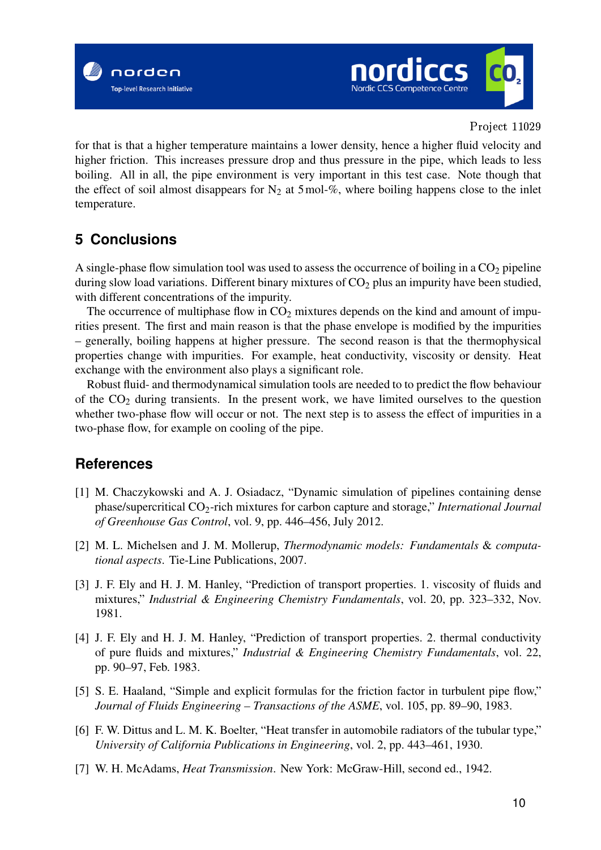



for that is that a higher temperature maintains a lower density, hence a higher fluid velocity and higher friction. This increases pressure drop and thus pressure in the pipe, which leads to less boiling. All in all, the pipe environment is very important in this test case. Note though that the effect of soil almost disappears for  $N_2$  at 5 mol-%, where boiling happens close to the inlet temperature.

# **5 Conclusions**

A single-phase flow simulation tool was used to assess the occurrence of boiling in a  $CO<sub>2</sub>$  pipeline during slow load variations. Different binary mixtures of  $CO<sub>2</sub>$  plus an impurity have been studied, with different concentrations of the impurity.

The occurrence of multiphase flow in  $CO<sub>2</sub>$  mixtures depends on the kind and amount of impurities present. The first and main reason is that the phase envelope is modified by the impurities – generally, boiling happens at higher pressure. The second reason is that the thermophysical properties change with impurities. For example, heat conductivity, viscosity or density. Heat exchange with the environment also plays a significant role.

Robust fluid- and thermodynamical simulation tools are needed to to predict the flow behaviour of the  $CO<sub>2</sub>$  during transients. In the present work, we have limited ourselves to the question whether two-phase flow will occur or not. The next step is to assess the effect of impurities in a two-phase flow, for example on cooling of the pipe.

# **References**

- [1] M. Chaczykowski and A. J. Osiadacz, "Dynamic simulation of pipelines containing dense phase/supercritical CO2-rich mixtures for carbon capture and storage," *International Journal of Greenhouse Gas Control*, vol. 9, pp. 446–456, July 2012.
- [2] M. L. Michelsen and J. M. Mollerup, *Thermodynamic models: Fundamentals* & *computational aspects*. Tie-Line Publications, 2007.
- [3] J. F. Ely and H. J. M. Hanley, "Prediction of transport properties. 1. viscosity of fluids and mixtures," *Industrial & Engineering Chemistry Fundamentals*, vol. 20, pp. 323–332, Nov. 1981.
- [4] J. F. Ely and H. J. M. Hanley, "Prediction of transport properties. 2. thermal conductivity of pure fluids and mixtures," *Industrial & Engineering Chemistry Fundamentals*, vol. 22, pp. 90–97, Feb. 1983.
- [5] S. E. Haaland, "Simple and explicit formulas for the friction factor in turbulent pipe flow," *Journal of Fluids Engineering – Transactions of the ASME*, vol. 105, pp. 89–90, 1983.
- [6] F. W. Dittus and L. M. K. Boelter, "Heat transfer in automobile radiators of the tubular type," *University of California Publications in Engineering*, vol. 2, pp. 443–461, 1930.
- [7] W. H. McAdams, *Heat Transmission*. New York: McGraw-Hill, second ed., 1942.